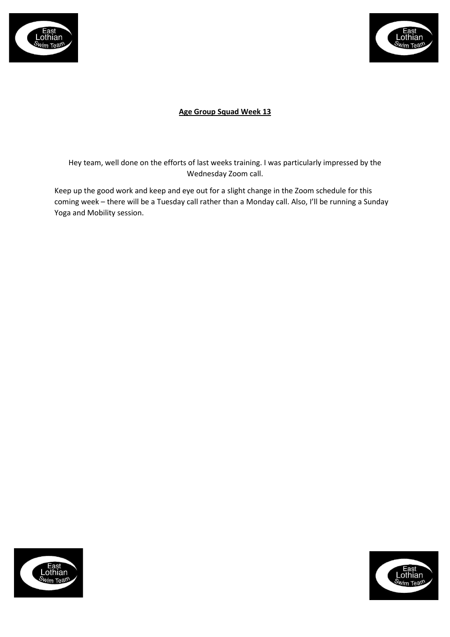



# **Age Group Squad Week 13**

Hey team, well done on the efforts of last weeks training. I was particularly impressed by the Wednesday Zoom call.

Keep up the good work and keep and eye out for a slight change in the Zoom schedule for this coming week – there will be a Tuesday call rather than a Monday call. Also, I'll be running a Sunday Yoga and Mobility session.



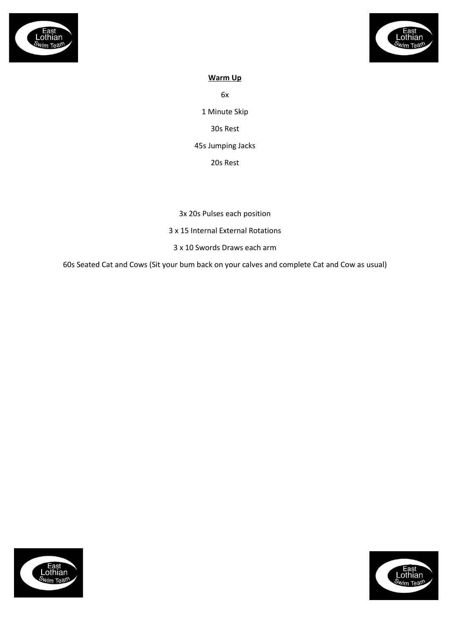



## **Warm Up**

6x 1 Minute Skip 30s Rest 45s Jumping Jacks

20s Rest

3x 20s Pulses each position

3 x 15 Internal External Rotations

3 x 10 Swords Draws each arm

60s Seated Cat and Cows (Sit your bum back on your calves and complete Cat and Cow as usual)



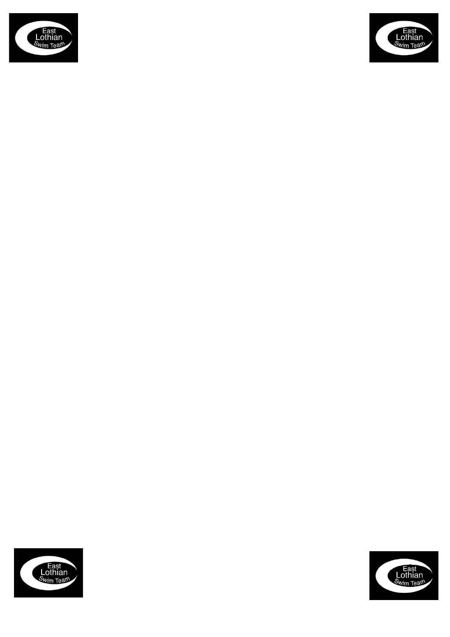





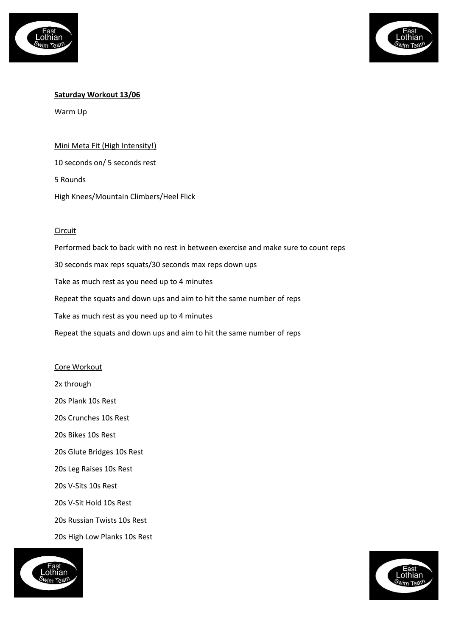



#### **Saturday Workout 13/06**

Warm Up

#### Mini Meta Fit (High Intensity!)

10 seconds on/ 5 seconds rest 5 Rounds High Knees/Mountain Climbers/Heel Flick

#### **Circuit**

Performed back to back with no rest in between exercise and make sure to count reps 30 seconds max reps squats/30 seconds max reps down ups Take as much rest as you need up to 4 minutes Repeat the squats and down ups and aim to hit the same number of reps Take as much rest as you need up to 4 minutes Repeat the squats and down ups and aim to hit the same number of reps

Core Workout 2x through 20s Plank 10s Rest 20s Crunches 10s Rest 20s Bikes 10s Rest 20s Glute Bridges 10s Rest 20s Leg Raises 10s Rest 20s V-Sits 10s Rest 20s V-Sit Hold 10s Rest 20s Russian Twists 10s Rest 20s High Low Planks 10s Rest



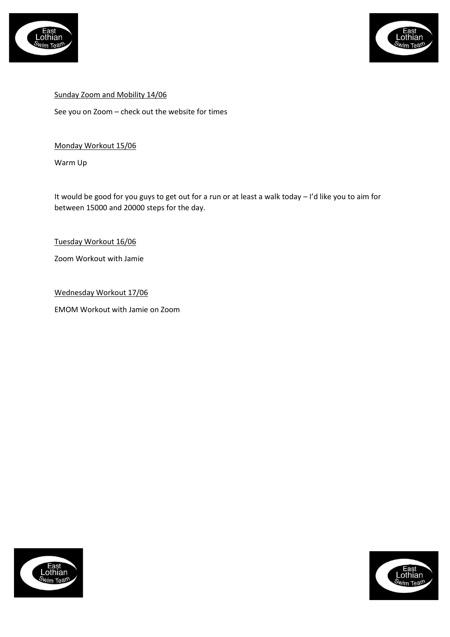



#### Sunday Zoom and Mobility 14/06

See you on Zoom – check out the website for times

#### Monday Workout 15/06

Warm Up

It would be good for you guys to get out for a run or at least a walk today – I'd like you to aim for between 15000 and 20000 steps for the day.

Tuesday Workout 16/06

Zoom Workout with Jamie

Wednesday Workout 17/06

EMOM Workout with Jamie on Zoom